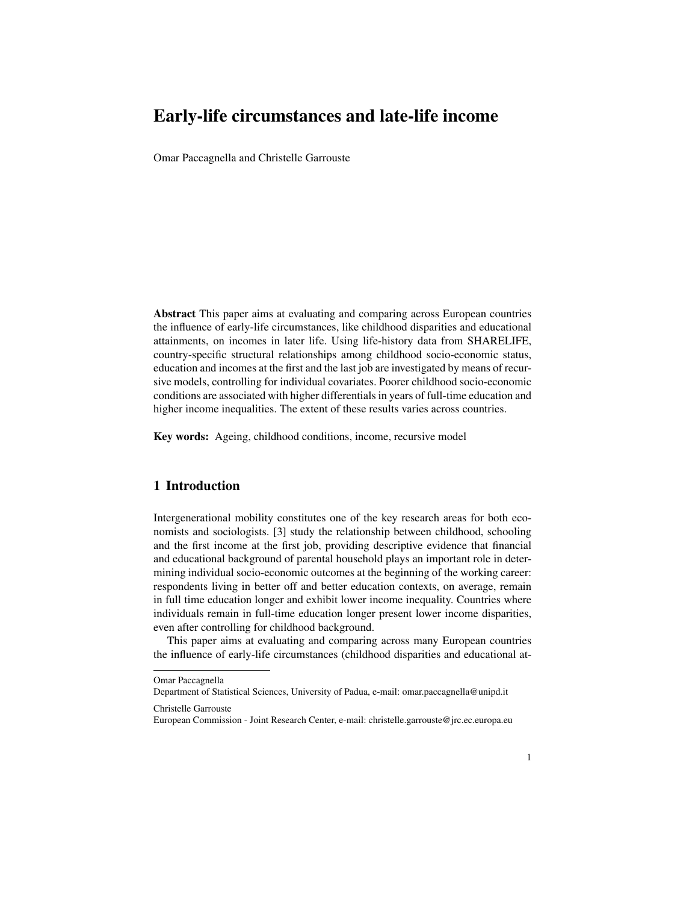# Early-life circumstances and late-life income

Omar Paccagnella and Christelle Garrouste

Abstract This paper aims at evaluating and comparing across European countries the influence of early-life circumstances, like childhood disparities and educational attainments, on incomes in later life. Using life-history data from SHARELIFE, country-specific structural relationships among childhood socio-economic status, education and incomes at the first and the last job are investigated by means of recursive models, controlling for individual covariates. Poorer childhood socio-economic conditions are associated with higher differentials in years of full-time education and higher income inequalities. The extent of these results varies across countries.

Key words: Ageing, childhood conditions, income, recursive model

## 1 Introduction

Intergenerational mobility constitutes one of the key research areas for both economists and sociologists. [3] study the relationship between childhood, schooling and the first income at the first job, providing descriptive evidence that financial and educational background of parental household plays an important role in determining individual socio-economic outcomes at the beginning of the working career: respondents living in better off and better education contexts, on average, remain in full time education longer and exhibit lower income inequality. Countries where individuals remain in full-time education longer present lower income disparities, even after controlling for childhood background.

This paper aims at evaluating and comparing across many European countries the influence of early-life circumstances (childhood disparities and educational at-

Christelle Garrouste

Omar Paccagnella

Department of Statistical Sciences, University of Padua, e-mail: omar.paccagnella@unipd.it

European Commission - Joint Research Center, e-mail: christelle.garrouste@jrc.ec.europa.eu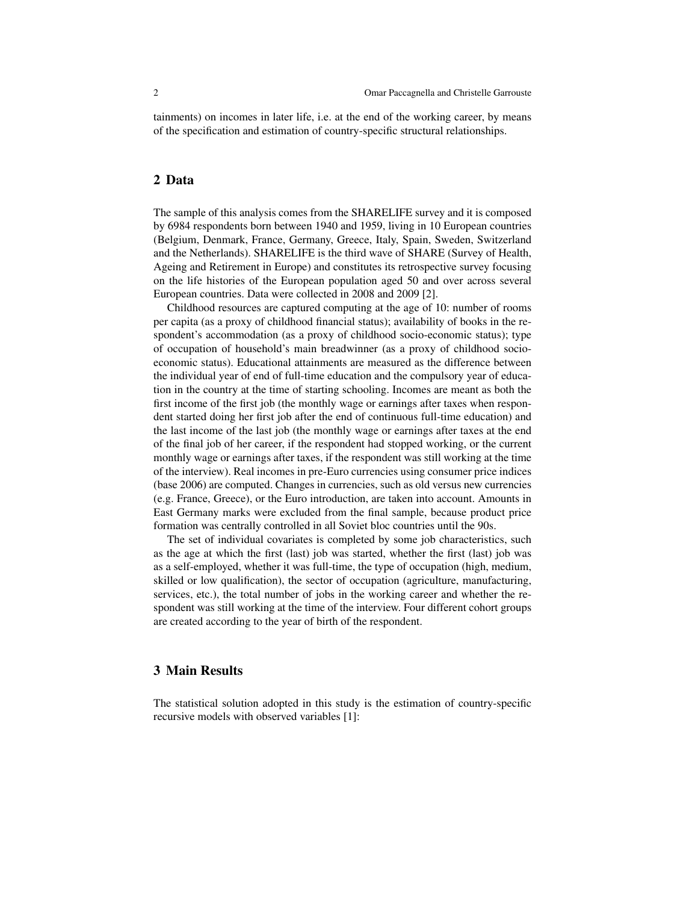tainments) on incomes in later life, i.e. at the end of the working career, by means of the specification and estimation of country-specific structural relationships.

### 2 Data

The sample of this analysis comes from the SHARELIFE survey and it is composed by 6984 respondents born between 1940 and 1959, living in 10 European countries (Belgium, Denmark, France, Germany, Greece, Italy, Spain, Sweden, Switzerland and the Netherlands). SHARELIFE is the third wave of SHARE (Survey of Health, Ageing and Retirement in Europe) and constitutes its retrospective survey focusing on the life histories of the European population aged 50 and over across several European countries. Data were collected in 2008 and 2009 [2].

Childhood resources are captured computing at the age of 10: number of rooms per capita (as a proxy of childhood financial status); availability of books in the respondent's accommodation (as a proxy of childhood socio-economic status); type of occupation of household's main breadwinner (as a proxy of childhood socioeconomic status). Educational attainments are measured as the difference between the individual year of end of full-time education and the compulsory year of education in the country at the time of starting schooling. Incomes are meant as both the first income of the first job (the monthly wage or earnings after taxes when respondent started doing her first job after the end of continuous full-time education) and the last income of the last job (the monthly wage or earnings after taxes at the end of the final job of her career, if the respondent had stopped working, or the current monthly wage or earnings after taxes, if the respondent was still working at the time of the interview). Real incomes in pre-Euro currencies using consumer price indices (base 2006) are computed. Changes in currencies, such as old versus new currencies (e.g. France, Greece), or the Euro introduction, are taken into account. Amounts in East Germany marks were excluded from the final sample, because product price formation was centrally controlled in all Soviet bloc countries until the 90s.

The set of individual covariates is completed by some job characteristics, such as the age at which the first (last) job was started, whether the first (last) job was as a self-employed, whether it was full-time, the type of occupation (high, medium, skilled or low qualification), the sector of occupation (agriculture, manufacturing, services, etc.), the total number of jobs in the working career and whether the respondent was still working at the time of the interview. Four different cohort groups are created according to the year of birth of the respondent.

#### 3 Main Results

The statistical solution adopted in this study is the estimation of country-specific recursive models with observed variables [1]: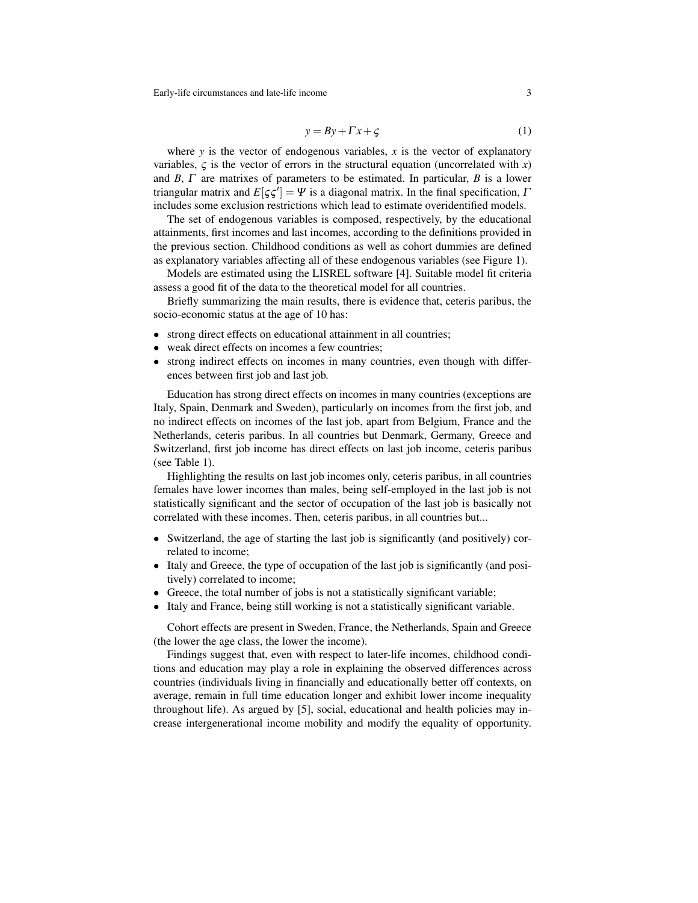Early-life circumstances and late-life income 3

$$
y = By + \Gamma x + \zeta \tag{1}
$$

where  $y$  is the vector of endogenous variables,  $x$  is the vector of explanatory variables,  $\zeta$  is the vector of errors in the structural equation (uncorrelated with *x*) and *B*, Γ are matrixes of parameters to be estimated. In particular, *B* is a lower triangular matrix and  $E[\zeta \zeta'] = \Psi$  is a diagonal matrix. In the final specification,  $\Gamma$ includes some exclusion restrictions which lead to estimate overidentified models.

The set of endogenous variables is composed, respectively, by the educational attainments, first incomes and last incomes, according to the definitions provided in the previous section. Childhood conditions as well as cohort dummies are defined as explanatory variables affecting all of these endogenous variables (see Figure 1).

Models are estimated using the LISREL software [4]. Suitable model fit criteria assess a good fit of the data to the theoretical model for all countries.

Briefly summarizing the main results, there is evidence that, ceteris paribus, the socio-economic status at the age of 10 has:

- strong direct effects on educational attainment in all countries;
- weak direct effects on incomes a few countries;
- strong indirect effects on incomes in many countries, even though with differences between first job and last job.

Education has strong direct effects on incomes in many countries (exceptions are Italy, Spain, Denmark and Sweden), particularly on incomes from the first job, and no indirect effects on incomes of the last job, apart from Belgium, France and the Netherlands, ceteris paribus. In all countries but Denmark, Germany, Greece and Switzerland, first job income has direct effects on last job income, ceteris paribus (see Table 1).

Highlighting the results on last job incomes only, ceteris paribus, in all countries females have lower incomes than males, being self-employed in the last job is not statistically significant and the sector of occupation of the last job is basically not correlated with these incomes. Then, ceteris paribus, in all countries but...

- Switzerland, the age of starting the last job is significantly (and positively) correlated to income;
- Italy and Greece, the type of occupation of the last job is significantly (and positively) correlated to income;
- Greece, the total number of jobs is not a statistically significant variable;
- Italy and France, being still working is not a statistically significant variable.

Cohort effects are present in Sweden, France, the Netherlands, Spain and Greece (the lower the age class, the lower the income).

Findings suggest that, even with respect to later-life incomes, childhood conditions and education may play a role in explaining the observed differences across countries (individuals living in financially and educationally better off contexts, on average, remain in full time education longer and exhibit lower income inequality throughout life). As argued by [5], social, educational and health policies may increase intergenerational income mobility and modify the equality of opportunity.